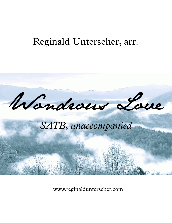## Reginald Unterseher, arr.



www.reginaldunterseher.com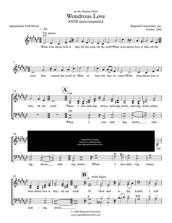## Wondrous Love *for the Shalom Choir*

SATB unaccompanied



*www.reginaldunterseher.com*